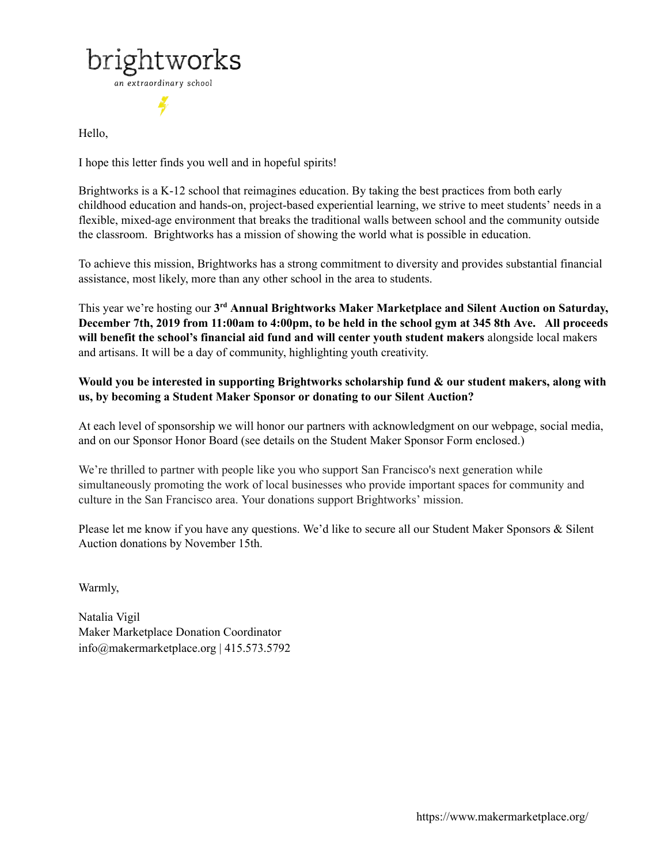

Hello,

I hope this letter finds you well and in hopeful spirits!

Brightworks is a K-12 school that reimagines education. By taking the best practices from both early childhood education and hands-on, project-based experiential learning, we strive to meet students' needs in a flexible, mixed-age environment that breaks the traditional walls between school and the community outside the classroom. Brightworks has a mission of showing the world what is possible in education.

To achieve this mission, Brightworks has a strong commitment to diversity and provides substantial financial assistance, most likely, more than any other [school](https://www.privateschoolreview.com/brightworks-school-profile) in the area to students.

This year we're hosting our **3 rd Annual Brightworks Maker Marketplace and Silent Auction on Saturday,** December 7th, 2019 from 11:00am to 4:00pm, to be held in the school gym at 345 8th Ave. All proceeds **will benefit the school's financial aid fund and will center youth student makers** alongside local makers and artisans. It will be a day of community, highlighting youth creativity.

**Would you be interested in supporting Brightworks scholarship fund & our student makers, along with us, by becoming a Student Maker Sponsor or donating to our Silent Auction?**

At each level of sponsorship we will honor our partners with acknowledgment on our webpage, social media, and on our Sponsor Honor Board (see details on the Student Maker Sponsor Form enclosed.)

We're thrilled to partner with people like you who support San Francisco's next generation while simultaneously promoting the work of local businesses who provide important spaces for community and culture in the San Francisco area. Your donations support Brightworks' mission.

Please let me know if you have any questions. We'd like to secure all our Student Maker Sponsors & Silent Auction donations by November 15th.

Warmly,

Natalia Vigil Maker Marketplace Donation Coordinator info@makermarketplace.org | 415.573.5792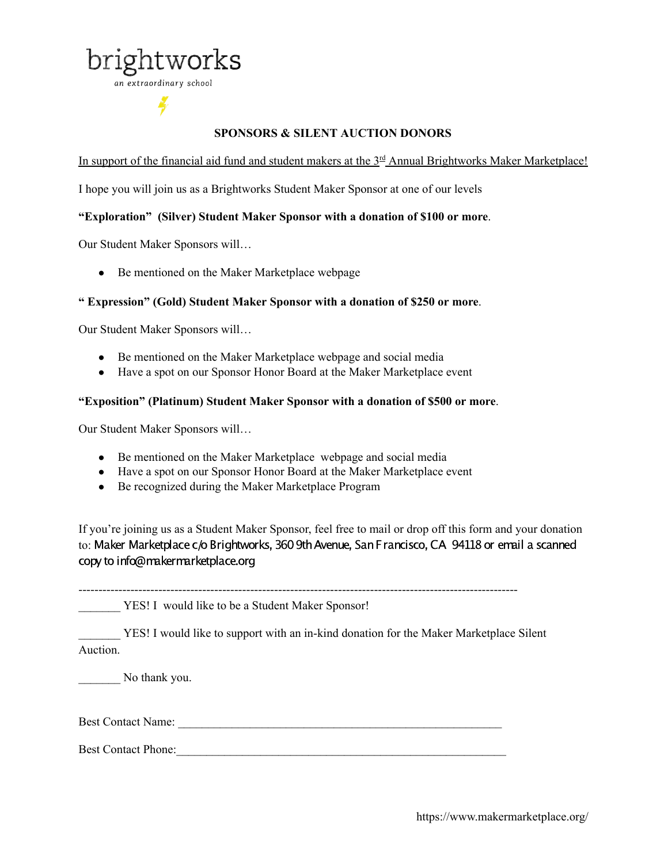

an extraordinary school

# **SPONSORS & SILENT AUCTION DONORS**

In support of the financial aid fund and student makers at the  $3<sup>rd</sup>$  Annual Brightworks Maker Marketplace!

I hope you will join us as a Brightworks Student Maker Sponsor at one of our levels

# **"Exploration" (Silver) Student Maker Sponsor with a donation of \$100 or more**.

Our Student Maker Sponsors will…

• Be mentioned on the Maker Marketplace webpage

## **" Expression" (Gold) Student Maker Sponsor with a donation of \$250 or more**.

Our Student Maker Sponsors will…

- Be mentioned on the Maker Marketplace webpage and social media
- Have a spot on our Sponsor Honor Board at the Maker Marketplace event

# **"Exposition" (Platinum) Student Maker Sponsor with a donation of \$500 or more**.

Our Student Maker Sponsors will…

- Be mentioned on the Maker Marketplace webpage and social media
- Have a spot on our Sponsor Honor Board at the Maker Marketplace event
- Be recognized during the Maker Marketplace Program

If you're joining us as a Student Maker Sponsor, feel free to mail or drop off this form and your donation to: Maker Marketplace c/o Brightworks, 360 9th Avenue, San Francisco, CA 94118 or email a scanned copy to info@makermarketplace.org

\_\_\_\_\_\_\_ YES! I would like to be a Student Maker Sponsor!

YES! I would like to support with an in-kind donation for the Maker Marketplace Silent Auction.

No thank you.

Best Contact Name:

Best Contact Phone:\_\_\_\_\_\_\_\_\_\_\_\_\_\_\_\_\_\_\_\_\_\_\_\_\_\_\_\_\_\_\_\_\_\_\_\_\_\_\_\_\_\_\_\_\_\_\_\_\_\_\_\_\_\_\_